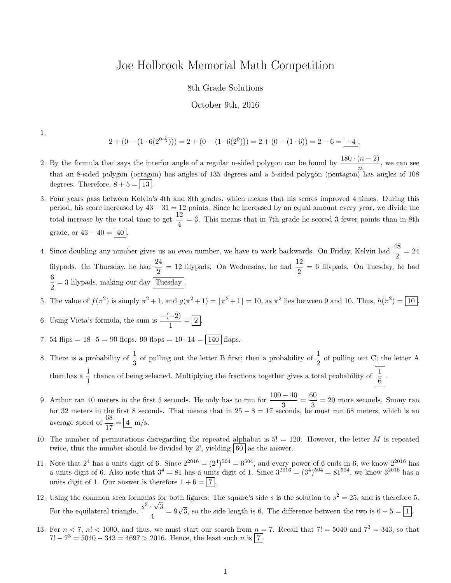## Joe Holbrook Memorial Math Competition

## 8th Grade Solutions

## October 9th, 2016

1.

$$
2 + (0 - (1 \cdot 6(2^{0 \cdot \frac{1}{6}}))) = 2 + (0 - (1 \cdot 6(2^{0}))) = 2 + (0 - (1 \cdot 6)) = 2 - 6 = \boxed{-4}.
$$

- 2. By the formula that says the interior angle of a regular n-sided polygon can be found by  $\frac{180 \cdot (n-2)}{n}$ , we can see that an 8-sided polygon (octagon) has angles of 135 degrees and a 5-sided polygon (pentagon) has angles of 108 degrees. Therefore,  $8 + 5 = 13$ .
- 3. Four years pass between Kelvin's 4th and 8th grades, which means that his scores improved 4 times. During this period, his score increased by  $43 - 31 = 12$  points. Since he increased by an equal amount every year, we divide the total increase by the total time to get  $\frac{12}{4} = 3$ . This means that in 7th grade he scored 3 fewer points than in 8th grade, or  $43 - 40 = \boxed{40}$
- 4. Since doubling any number gives us an even number, we have to work backwards. On Friday, Kelvin had  $\frac{48}{2} = 24$ lilypads. On Thursday, he had  $\frac{24}{2} = 12$  lilypads. On Wednesday, he had  $\frac{12}{2} = 6$  lilypads. On Tuesday, he had 6  $\frac{1}{2}$  = 3 lilypads, making our day  $\boxed{\text{Tuesday}}$ .
- 5. The value of  $f(\pi^2)$  is simply  $\pi^2 + 1$ , and  $g(\pi^2 + 1) = |\pi^2 + 1| = 10$ , as  $\pi^2$  lies between 9 and 10. Thus,  $h(\pi^2) = \boxed{10}$ .
- 6. Using Vieta's formula, the sum is  $\frac{-(-2)}{1} = \boxed{2}$ .
- 7. 54 flips =  $18 \cdot 5 = 90$  flops.  $90$  flops =  $10 \cdot 14 = |140|$  flaps.
- 8. There is a probability of  $\frac{1}{3}$  of pulling out the letter B first; then a probability of  $\frac{1}{2}$  of pulling out C; the letter A then has a  $\frac{1}{1}$  chance of being selected. Multiplying the fractions together gives a total probability of  $\left|\frac{1}{6}\right|$ .
- 9. Arthur ran 40 meters in the first 5 seconds. He only has to run for  $\frac{100 40}{3} = \frac{60}{3}$  $\frac{30}{3}$  = 20 more seconds. Sunny ran for 32 meters in the first 8 seconds. That means that in  $25 - 8 = 17$  seconds, he must run 68 meters, which is an average speed of  $\frac{68}{17} = \boxed{4}$  m/s.
- 10. The number of permutations disregarding the repeated alphabat is  $5! = 120$ . However, the letter M is repeated twice, thus the number should be divided by 2!, yielding  $|60|$  as the answer.
- 11. Note that  $2^4$  has a units digit of 6. Since  $2^{2016} = (2^4)^{504} = 6^{504}$ , and every power of 6 ends in 6, we know  $2^{2016}$  has a units digit of 6. Also note that  $3^4 = 81$  has a units digit of 1. Since  $3^{2016} = (3^4)^{504} = 81^{504}$ , we know  $3^{2016}$  has a units digit of 1. Our answer is therefore  $1 + 6 = |7|$
- 12. Using the common area formulas for both figures: The square's side s is the solution to  $s^2 = 25$ , and is therefore 5. For the equilateral triangle,  $\frac{s^2 \cdot \sqrt{3}}{4}$  $\frac{\sqrt{3}}{4} = 9\sqrt{3}$ , so the side length is 6. The difference between the two is  $6 - 5 = 1$ .
- 13. For  $n < 7$ ,  $n! < 1000$ , and thus, we must start our search from  $n = 7$ . Recall that  $7! = 5040$  and  $7^3 = 343$ , so that  $7! - 7^3 = 5040 - 343 = 4697 > 2016$ . Hence, the least such n is  $\boxed{7}$ .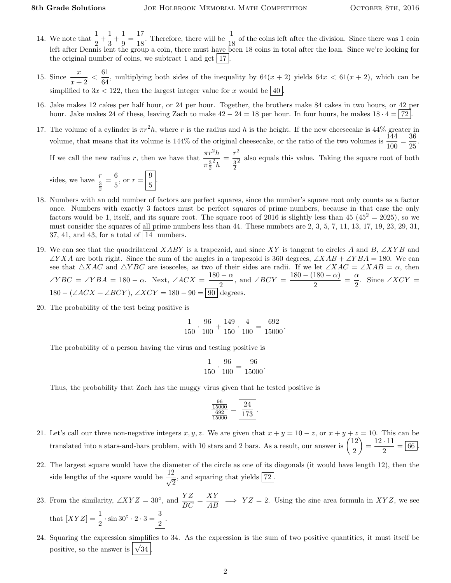- 14. We note that  $\frac{1}{2} + \frac{1}{3}$  $\frac{1}{3} + \frac{1}{9}$  $\frac{1}{9} = \frac{17}{18}$  $\frac{17}{18}$ . Therefore, there will be  $\frac{1}{18}$  of the coins left after the division. Since there was 1 coin left after Dennis lent the group a coin, there must have been 18 coins in total after the loan. Since we're looking for the original number of coins, we subtract 1 and get  $|17|$ .
- 15. Since  $\frac{x}{x+2} < \frac{61}{64}$  $\frac{64}{64}$ , multiplying both sides of the inequality by  $64(x + 2)$  yields  $64x < 61(x + 2)$ , which can be simplified to  $3x < 122$ , then the largest integer value for x would be  $\boxed{40}$
- 16. Jake makes 12 cakes per half hour, or 24 per hour. Together, the brothers make 84 cakes in two hours, or 42 per hour. Jake makes 24 of these, leaving Zach to make  $42 - 24 = 18$  per hour. In four hours, he makes  $18 \cdot 4 = |72|$ .
- 17. The volume of a cylinder is  $\pi r^2 h$ , where r is the radius and h is the height. If the new cheesecake is 44% greater in volume, that means that its volume is 144% of the original cheesecake, or the ratio of the two volumes is  $\frac{144}{100} = \frac{36}{25}$  $\frac{36}{25}$ If we call the new radius r, then we have that  $\frac{\pi r^2 h}{r^2}$  $\pi \frac{3}{2}$  $\mathbf{2}_h$  $=\frac{r^2}{a^2}$  $\frac{3}{2}$  $\frac{1}{2}$  also equals this value. Taking the square root of both

sides, we have  $\frac{r}{\frac{3}{2}}$  $=\frac{6}{5}$  $\frac{6}{5}$ , or  $r = \frac{9}{5}$  $\frac{5}{5}$ 

- 18. Numbers with an odd number of factors are perfect squares, since the number's square root only counts as a factor once. Numbers with exactly 3 factors must be perfect squares of prime numbers, because in that case the only factors would be 1, itself, and its square root. The square root of 2016 is slightly less than 45  $(45^2 = 2025)$ , so we must consider the squares of all prime numbers less than 44. These numbers are 2, 3, 5, 7, 11, 13, 17, 19, 23, 29, 31, 37, 41, and 43, for a total of  $|14|$  numbers.
- 19. We can see that the quadrilateral XABY is a trapezoid, and since XY is tangent to circles A and B, ∠XYB and  $\angle YXA$  are both right. Since the sum of the angles in a trapezoid is 360 degrees,  $\angle XAB + \angle YBA = 180$ . We can see that  $\triangle XAC$  and  $\triangle YBC$  are isosceles, as two of their sides are radii. If we let  $\angle XAC = \angle XAB = \alpha$ , then  $\angle YBC = \angle YBA = 180 - \alpha$ . Next,  $\angle ACX = \frac{180 - \alpha}{\alpha}$  $\frac{1-\alpha}{2}$ , and  $\angle BCY = \frac{180 - (180 - \alpha)}{2}$  $\frac{180-\alpha)}{2} = \frac{\alpha}{2}$  $\frac{\alpha}{2}$ . Since ∠*XCY* =  $180 - (\angle ACX + \angle BCY)$ ,  $\angle XCY = 180 - 90 = 90$  degrees.
- 20. The probability of the test being positive is

$$
\frac{1}{150} \cdot \frac{96}{100} + \frac{149}{150} \cdot \frac{4}{100} = \frac{692}{15000}.
$$

The probability of a person having the virus and testing positive is

$$
\frac{1}{150} \cdot \frac{96}{100} = \frac{96}{15000}
$$

.

Thus, the probability that Zach has the muggy virus given that he tested positive is

$$
\frac{\frac{96}{15000}}{\frac{692}{15000}} = \boxed{\frac{24}{173}}.
$$

- 21. Let's call our three non-negative integers  $x, y, z$ . We are given that  $x + y = 10 z$ , or  $x + y + z = 10$ . This can be translated into a stars-and-bars problem, with 10 stars and 2 bars. As a result, our answer is  $\binom{12}{3}$ 2  $= \frac{12 \cdot 11}{8}$  $\frac{1}{2} = 66$ .
- 22. The largest square would have the diameter of the circle as one of its diagonals (it would have length 12), then the side lengths of the square would be  $\frac{12}{\sqrt{6}}$  $\frac{1}{2}$ , and squaring that yields  $\boxed{72}$ .
- 23. From the similarity,  $\angle XYZ = 30^\circ$ , and  $\frac{YZ}{BC} = \frac{XY}{AB} \implies YZ = 2$ . Using the sine area formula in XYZ, we see that  $[XYZ] = \frac{1}{2} \cdot \sin 30^{\circ} \cdot 2 \cdot 3 = \frac{3}{2}$  $rac{1}{2}$ .
- 24. Squaring the expression simplifies to 34. As the expression is the sum of two positive quantities, it must itself be positive, so the answer is  $\sqrt{34}$ .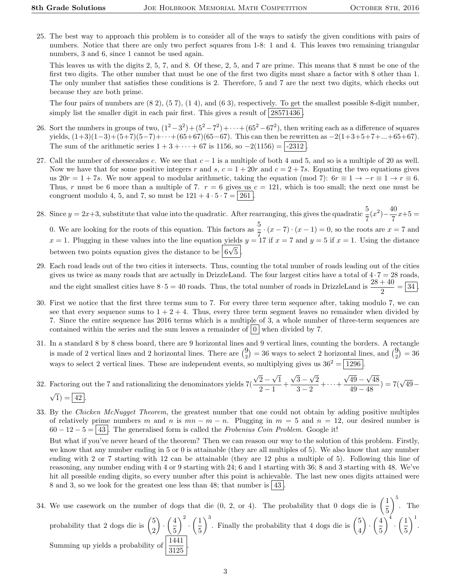25. The best way to approach this problem is to consider all of the ways to satisfy the given conditions with pairs of numbers. Notice that there are only two perfect squares from 1-8: 1 and 4. This leaves two remaining triangular numbers, 3 and 6, since 1 cannot be used again.

This leaves us with the digits 2, 5, 7, and 8. Of these, 2, 5, and 7 are prime. This means that 8 must be one of the first two digits. The other number that must be one of the first two digits must share a factor with 8 other than 1. The only number that satisfies these conditions is 2. Therefore, 5 and 7 are the next two digits, which checks out because they are both prime.

The four pairs of numbers are (8 2), (5 7), (1 4), and (6 3), respectively. To get the smallest possible 8-digit number, simply list the smaller digit in each pair first. This gives a result of  $|28571436|$ 

- 26. Sort the numbers in groups of two,  $(1^2-3^2)+(5^2-7^2)+\cdots+(65^2-67^2)$ , then writing each as a difference of squares yields,  $(1+3)(1-3)+(5+7)(5-7)+\cdots+(65+67)(65-67)$ . This can then be rewritten as  $-2(1+3+5+7+\ldots+65+67)$ . The sum of the arithmetic series  $1 + 3 + \cdots + 67$  is 1156, so  $-2(1156) = -2312$
- 27. Call the number of cheesecakes c. We see that  $c 1$  is a multiple of both 4 and 5, and so is a multiple of 20 as well. Now we have that for some positive integers r and s,  $c = 1 + 20r$  and  $c = 2 + 7s$ . Equating the two equations gives us  $20r = 1 + 7s$ . We now appeal to modular arithmetic, taking the equation (mod 7):  $6r \equiv 1 \rightarrow -r \equiv 1 \rightarrow r \equiv 6$ . Thus, r must be 6 more than a multiple of 7.  $r = 6$  gives us  $c = 121$ , which is too small; the next one must be congruent modulo 4, 5, and 7, so must be  $121 + 4 \cdot 5 \cdot 7 = 261$ .
- 28. Since  $y = 2x+3$ , substitute that value into the quadratic. After rearranging, this gives the quadratic  $\frac{5}{7}(x^2) \frac{40}{7}$  $\frac{15}{7}x+5=$ 0. We are looking for the roots of this equation. This factors as  $\frac{5}{7} \cdot (x - 7) \cdot (x - 1) = 0$ , so the roots are  $x = 7$  and  $x = 1$ . Plugging in these values into the line equation yields  $y = 17$  if  $x = 7$  and  $y = 5$  if  $x = 1$ . Using the distance between two points equation gives the distance to be  $\boxed{6\sqrt{5}}$ .
- 29. Each road leads out of the two cities it intersects. Thus, counting the total number of roads leading out of the cities gives us twice as many roads that are actually in DrizzleLand. The four largest cities have a total of  $4 \cdot 7 = 28$  roads, and the eight smallest cities have  $8 \cdot 5 = 40$  roads. Thus, the total number of roads in DrizzleLand is  $\frac{28+40}{2} = \boxed{34}$ .
- 30. First we notice that the first three terms sum to 7. For every three term sequence after, taking modulo 7, we can see that every sequence sums to  $1 + 2 + 4$ . Thus, every three term segment leaves no remainder when divided by 7. Since the entire sequence has 2016 terms which is a multiple of 3, a whole number of three-term sequences are contained within the series and the sum leaves a remainder of  $\vert 0 \vert$  when divided by 7.
- 31. In a standard 8 by 8 chess board, there are 9 horizontal lines and 9 vertical lines, counting the borders. A rectangle is made of 2 vertical lines and 2 horizontal lines. There are  $\binom{9}{2} = 36$  ways to select 2 horizontal lines, and  $\binom{9}{2} = 36$ ways to select 2 vertical lines. These are independent events, so multiplying gives us  $36^2 = 1296$ .
- 32. Factoring out the 7 and rationalizing the denominators yields 7( √  $2 -$ √ 1  $\frac{2}{2-1}$  + √ 3 − √ 2  $\frac{3-2}{3-2} + \cdots +$ √ 49 − √ 48  $\sqrt{\frac{49}{49} - \sqrt{48}}$ ) = 7( $\sqrt{49} -$ √  $\sqrt{1}$ ) = 42.
- 33. By the Chicken McNugget Theorem, the greatest number that one could not obtain by adding positive multiples of relatively prime numbers m and n is  $mn - m - n$ . Plugging in  $m = 5$  and  $n = 12$ , our desired number is  $60 - 12 - 5 = 43$ . The generalised form is called the *Frobenius Coin Problem.* Google it!

But what if you've never heard of the theorem? Then we can reason our way to the solution of this problem. Firstly, we know that any number ending in 5 or 0 is attainable (they are all multiples of 5). We also know that any number ending with 2 or 7 starting with 12 can be attainable (they are 12 plus a multiple of 5). Following this line of reasoning, any number ending with 4 or 9 starting with 24; 6 and 1 starting with 36; 8 and 3 starting with 48. We've hit all possible ending digits, so every number after this point is achievable. The last new ones digits attained were 8 and 3, so we look for the greatest one less than 48; that number is  $|43|$ 

34. We use casework on the number of dogs that die  $(0, 2, 0, 4)$ . The probability that 0 dogs die is  $\left(\frac{1}{5}\right)$ 5  $\Big)^5$ . The probability that 2 dogs die is  $\binom{5}{3}$ 2  $\Big) \cdot \Big( \frac{4}{5}$ 5  $\bigg\}^2 \cdot \bigg(\frac{1}{5}\bigg)$ 5  $\int_{0}^{3}$ . Finally the probability that 4 dogs die is  $\binom{5}{4}$ 4  $\Big) \cdot \Big( \frac{4}{5}$ 5  $\Big)^4 \cdot \Big(\frac{1}{5}\Big)$ 5  $\bigg)$ <sup>1</sup>. Summing up yields a probability of  $\frac{1441}{3125}$ .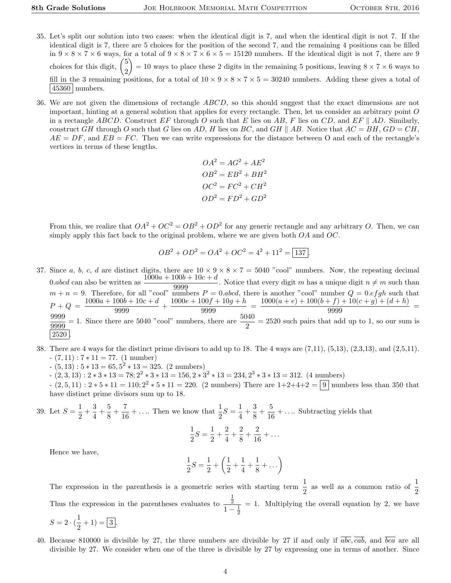- 35. Let's split our solution into two cases: when the identical digit is 7, and when the identical digit is not 7. If the identical digit is 7, there are 5 choices for the position of the second 7, and the remaining 4 positions can be filled in  $9 \times 8 \times 7 \times 6$  ways, for a total of  $9 \times 8 \times 7 \times 6 \times 5 = 15120$  numbers. If the identical digit is not 7, there are 9 choices for this digit, 5 2  $= 10$  ways to place these 2 digits in the remaining 5 positions, leaving  $8 \times 7 \times 6$  ways to fill in the 3 remaining positions, for a total of  $10 \times 9 \times 8 \times 7 \times 5 = 30240$  numbers. Adding these gives a total of  $|45360|$  numbers.
- 36. We are not given the dimensions of rectangle ABCD, so this should suggest that the exact dimensions are not important, hinting at a general solution that applies for every rectangle. Then, let us consider an arbitrary point  $O$ in a rectangle ABCD. Construct EF through O such that E lies on AB, F lies on CD, and EF || AD. Similarly, construct GH through O such that G lies on AD, H lies on BC, and GH || AB. Notice that  $AC = BH$ ,  $GD = CH$ ,  $AE = DF$ , and  $EB = FC$ . Then we can write expressions for the distance between O and each of the rectangle's vertices in terms of these lengths.

$$
OA2 = AG2 + AE2
$$
  

$$
OB2 = EB2 + BH2
$$
  

$$
OC2 = FC2 + CH2
$$
  

$$
OD2 = FD2 + GD2
$$

From this, we realize that  $OA^2 + OC^2 = OB^2 + OD^2$  for any generic rectangle and any arbitrary O. Then, we can simply apply this fact back to the original problem, where we are given both  $OA$  and  $OC$ .

$$
OB2 + OD2 = OA2 + OC2 = 42 + 112 = \boxed{137}.
$$

37. Since a, b, c, d are distinct digits, there are  $10 \times 9 \times 8 \times 7 = 5040$  "cool" numbers. Now, the repeating decimal 0.abcd can also be written as  $\frac{1000a + 100b + 10c + d}{9999}$ . Notice that every digit m has a unique digit  $n \neq m$  such than  $m + n = 9$ . Therefore, for all "cool" numbers  $P = 0$  abcd, there is another "cool" number  $Q = 0$  efgh such that  $P + Q = \frac{1000a + 100b + 10c + d}{0000}$  $\frac{100b + 10c + d}{9999} + \frac{1000e + 100f + 10g + h}{9999}$  $\frac{90f+10g+h}{9999} = \frac{1000(a+e)+100(b+f)+10(c+g)+(d+h)}{9999}$  $\frac{(y)(1 + 10(c + y) + (a + h))}{9999} =$ 9999  $\frac{9999}{9999}$  = 1. Since there are 5040 "cool" numbers, there are  $\frac{5040}{2}$  = 2520 such pairs that add up to 1, so our sum is 2520 .

- 38. There are 4 ways for the distinct prime divisors to add up to 18. The 4 ways are (7,11), (5,13), (2,3,13), and (2,5,11).  $(7, 11)$  :  $7 * 11 = 77$ .  $(1 \text{ number})$ 
	- $(5, 13): 5 * 13 = 65, 5<sup>2</sup> * 13 = 325.$  (2 numbers)
	- $(2,3,13): 2*3*13 = 78; 2^2*3*13 = 156, 2*3^2*13 = 234, 2^3*3*13 = 312.$  (4 numbers)
	- $(2,5,11): 2*5*11 = 110; 2^2*5*11 = 220.$  (2 numbers) There are  $1+2+4+2 = 9$  numbers less than 350 that have distinct prime divisors sum up to 18.

39. Let  $S = \frac{1}{2}$  $\frac{1}{2} + \frac{3}{4}$  $\frac{3}{4} + \frac{5}{8}$  $\frac{5}{8} + \frac{7}{16}$  $\frac{7}{16} + \dots$  Then we know that  $\frac{1}{2}S = \frac{1}{4}$  $\frac{1}{4} + \frac{3}{8}$  $\frac{3}{8} + \frac{5}{16}$  $\frac{6}{16} + \ldots$  Subtracting yields that

$$
\frac{1}{2}S = \frac{1}{2} + \frac{2}{4} + \frac{2}{8} + \frac{2}{16} + \dots
$$

Hence we have,

$$
\frac{1}{2}S = \frac{1}{2} + \left(\frac{1}{2} + \frac{1}{4} + \frac{1}{8} + \dots\right)
$$

The expression in the parenthesis is a geometric series with starting term  $\frac{1}{2}$  as well as a common ratio of  $\frac{1}{2}$ Thus the expression in the parentheses evaluates to  $\frac{1}{2}$  $1-\frac{1}{2}$  $= 1$ . Multiplying the overall equation by 2, we have

$$
S = 2 \cdot (\frac{1}{2} + 1) = \boxed{3}.
$$

40. Because 810000 is divisible by 27, the three numbers are divisible by 27 if and only if  $\overline{abc}$ ,  $\overline{cab}$ , and  $\overline{bca}$  are all divisible by 27. We consider when one of the three is divisible by 27 by expressing one in terms of another. Since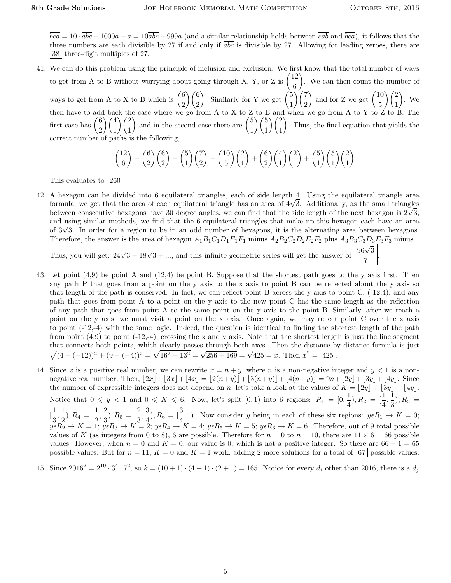$\frac{v}{7}$ 

 $\overline{bca} = 10 \cdot \overline{abc} - 1000a + a = 10 \overline{abc} - 999a$  (and a similar relationship holds between  $\overline{cab}$  and  $\overline{bca}$ ), it follows that the three numbers are each divisible by 27 if and only if  $\overline{abc}$  is divisible by 27. Allowing for leading zeroes, there are 38 three-digit multiples of 27.

41. We can do this problem using the principle of inclusion and exclusion. We first know that the total number of ways to get from A to B without worrying about going through X, Y, or Z is  $\binom{12}{3}$ 6 . We can then count the number of ways to get from A to X to B which is  $\begin{pmatrix} 6 \\ 0 \end{pmatrix}$ 2  $\binom{6}{ }$ 2 ). Similarly for Y we get  $\binom{5}{1}$ 1  $\binom{7}{ }$ 2 ) and for Z we get  $\begin{pmatrix} 10 \\ 5 \end{pmatrix}$ 5  $\setminus$  (2) 1  $\big)$ . We then have to add back the case where we go from A to X to Z to B and when we go from A to Y to Z to B. The first case has  $\binom{6}{5}$ 2  $\setminus$  /4 1  $\setminus$   $\ell$ 1 ) and in the second case there are  $\binom{5}{1}$ 1  $\frac{5}{5}$ 1  $\setminus$  (2) 1 . Thus, the final equation that yields the correct number of paths is the following,

$$
\binom{12}{6} - \binom{6}{2} \binom{6}{2} - \binom{5}{1} \binom{7}{2} - \binom{10}{5} \binom{2}{1} + \binom{6}{2} \binom{4}{1} \binom{2}{1} + \binom{5}{1} \binom{5}{1} \binom{2}{1}
$$

This evaluates to  $260$ 

42. A hexagon can be divided into 6 equilateral triangles, each of side length 4. Using the equilateral triangle area A hexagon can be divided into 6 equilateral triangles, each of side length 4. Using the equilateral triangle area<br>formula, we get that the area of each equilateral triangle has an area of 4√3. Additionally, as the small t formula, we get that the area of each equilateral triangle has an area of 4√3. Additionally, as the small triangles<br>between consecutive hexagons have 30 degree angles, we can find that the side length of the next hexagon and using similar methods, we find that the 6 equilateral triangles that make up this hexagon each have an area and using similar methods, we find that the 6 equilateral triangles that make up this hexagon each have an area<br>of  $3\sqrt{3}$ . In order for a region to be in an odd number of hexagons, it is the alternating area between hex Therefore, the answer is the area of hexagon  $A_1B_1C_1D_1E_1F_1$  minus  $A_2B_2C_2D_2E_2F_2$  plus  $A_3B_3C_3D_3E_3F_3$  minus...

Thus, you will get:  $24\sqrt{3} - 18\sqrt{3} + ...$ , and this infinite geometric series will get the answer of  $\frac{96\sqrt{3}}{5}$ 

- 43. Let point (4,9) be point A and (12,4) be point B. Suppose that the shortest path goes to the y axis first. Then any path P that goes from a point on the y axis to the x axis to point B can be reflected about the y axis so that length of the path is conserved. In fact, we can reflect point B across the y axis to point C, (-12,4), and any path that goes from point A to a point on the y axis to the new point C has the same length as the reflection of any path that goes from point A to the same point on the y axis to the point B. Similarly, after we reach a point on the y axis, we must visit a point on the x axis. Once again, we may reflect point C over the x axis to point (-12,-4) with the same logic. Indeed, the question is identical to finding the shortest length of the path from point  $(4,9)$  to point  $(-12,-4)$ , crossing the x and y axis. Note that the shortest length is just the line segment that connects both points, which clearly passes through both axes. Then the distance by distance formula is just  $\sqrt{(4-(-12))^2+(9-(-4))^2} = \sqrt{16^2+13^2} = \sqrt{256+169} = \sqrt{425} = x$ . Then  $x^2 = 425$ .
- 44. Since x is a positive real number, we can rewrite  $x = n + y$ , where n is a non-negative integer and  $y < 1$  is a nonnegative real number. Then,  $|2x|+|3x|+|4x| = |2(n+y)|+|3(n+y)|+|4(n+y)|=9n+|2y|+|3y|+|4y|$ . Since the number of expressible integers does not depend on n, let's take a look at the values of  $K = \lfloor 2y \rfloor + \lfloor 3y \rfloor + \lfloor 4y \rfloor$ . Notice that  $0 \leq y < 1$  and  $0 \leq K \leq 6$ . Now, let's split  $[0,1)$  into 6 regions:  $R_1 = \begin{bmatrix} 0, \frac{1}{4}, 0 \end{bmatrix}$  $\frac{1}{4}$ ),  $R_2 = \left[\frac{1}{4}, \frac{1}{3}\right]$  $(\frac{1}{3}), R_3 =$  $\frac{1}{2}$  $\frac{1}{3}, \frac{1}{2}$  $(\frac{1}{2}), R_4 = [\frac{1}{2}, \frac{2}{3}]$  $(\frac{2}{3}), R_5 = [\frac{2}{3}, \frac{3}{4}]$  $\frac{3}{4}$ ,  $R_6 = \left[\frac{3}{4}, 1\right)$ . Now consider y being in each of these six regions:  $y \in R_1 \to K = 0$ ;  $y\epsilon R_2 \to K = 1$ ;  $y\epsilon R_3 \to K = 2$ ;  $y\epsilon R_4 \to K = 4$ ;  $y\epsilon R_5 \to K = 5$ ;  $y\epsilon R_6 \to K = 6$ . Therefore, out of 9 total possible values of K (as integers from 0 to 8), 6 are possible. Therefore for  $n = 0$  to  $n = 10$ , there are  $11 \times 6 = 66$  possible values. However, when  $n = 0$  and  $K = 0$ , our value is 0, which is not a positive integer. So there are  $66 - 1 = 65$ possible values. But for  $n = 11$ ,  $K = 0$  and  $K = 1$  work, adding 2 more solutions for a total of 67 possible values.

45. Since 
$$
2016^2 = 2^{10} \cdot 3^4 \cdot 7^2
$$
, so  $k = (10+1) \cdot (4+1) \cdot (2+1) = 165$ . Notice for every  $d_i$  other than 2016, there is a  $d_j$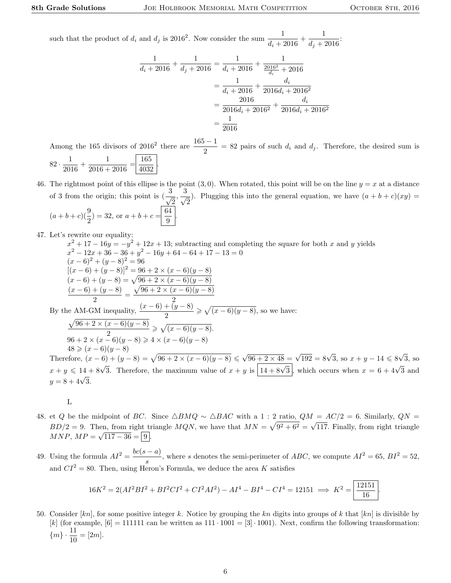such that the product of  $d_i$  and  $d_j$  is 2016<sup>2</sup>. Now consider the sum  $\frac{1}{d_i+2016}+\frac{1}{d_j+2016}$  $\frac{1}{d_j + 2016}$ 

$$
\frac{1}{d_i + 2016} + \frac{1}{d_j + 2016} = \frac{1}{d_i + 2016} + \frac{1}{\frac{2016^2}{d_i} + 2016}
$$

$$
= \frac{1}{d_i + 2016} + \frac{d_i}{2016d_i + 2016^2}
$$

$$
= \frac{2016}{2016d_i + 2016^2} + \frac{d_i}{2016d_i + 2016^2}
$$

$$
= \frac{1}{2016}
$$

Among the 165 divisors of 2016<sup>2</sup> there are  $\frac{165-1}{2}$  = 82 pairs of such  $d_i$  and  $d_j$ . Therefore, the desired sum is  $82 \cdot \frac{1}{201}$  $\frac{1}{2016} + \frac{1}{2016 + ...}$  $\frac{1}{2016 + 2016} = \frac{165}{4032}$ 4032 .

46. The rightmost point of this ellipse is the point  $(3,0)$ . When rotated, this point will be on the line  $y = x$  at a distance of 3 from the origin; this point is  $\left(\frac{3}{4}\right)$  $\frac{3}{2}, \frac{3}{\sqrt{2}}$  $\frac{1}{2}$ ). Plugging this into the general equation, we have  $(a + b + c)(xy) =$  $(a+b+c)(\frac{9}{2}) = 32$ , or  $a+b+c = \frac{64}{9}$  $\frac{1}{9}$ 

47. Let's rewrite our equality:

 $x^2 + 17 - 16y = -y^2 + 12x + 13$ ; subtracting and completing the square for both x and y yields  $x^2 - 12x + 36 - 36 + y^2 - 16y + 64 - 64 + 17 - 13 = 0$  $(x-6)^2 + (y-8)^2 = 96$  $[(x-6) + (y-8)]^2 = 96 + 2 \times (x-6)(y-8)$  $(x-6) + (y-8) = \sqrt{96 + 2 \times (x-6)(y-8)}$  $(x-6)+(y-8)$  $\frac{1}{2}$  =  $\sqrt{96 + 2 \times (x - 6)(y - 8)}$ 2 By the AM-GM inequality,  $\frac{(x-6)+(y-8)}{2}$  $\geqslant \sqrt{(x-6)(y-8)},$  so we have:  $\sqrt{96 + 2 \times (x - 6)(y - 8)}$ 2  $\geqslant \sqrt{(x-6)(y-8)}.$  $96 + 2 \times (x - 6)(y - 8) \ge 4 \times (x - 6)(y - 8)$  $48 \geqslant (x-6)(y-8)$ Therefore,  $(x-6) + (y-8) = \sqrt{96 + 2 \times (x-6)(y-8)} \le \sqrt{96 + 2 \times 48} = \sqrt{192} = 8\sqrt{3}$ , so  $x + y - 14 \le 8\sqrt{3}$ Therefore,  $(x - 6) + (y - 8) = \sqrt{96 + 2 \times (x - 6)(y - 8)} \le \sqrt{96 + 2 \times 48} = \sqrt{192} = 8\sqrt{3}$ , so  $x + y - 14 \le 8\sqrt{3}$ , so  $x + y \le 14 + 8\sqrt{3}$ . Therefore, the maximum value of  $x + y$  is  $\boxed{14 + 8\sqrt{3}}$ , which occurs when  $x = 6 + 4\sqrt{3}$  and  $x + y \le 14$ 

- 48. et Q be the midpoint of BC. Since  $\triangle BMQ \sim \triangle BAC$  with a 1 : 2 ratio,  $QM = AC/2 = 6$ . Similarly,  $QN =$  $BD/2 = 9$ . Then, from right triangle  $MQN$ , we have that  $MN = \sqrt{9^2 + 6^2}$ √ hen, from right triangle  $MQN$ , we have that  $MN = \sqrt{9^2 + 6^2} = \sqrt{117}$ . Finally, from right triangle  $MNP, MP = \sqrt{117 - 36} = |9|.$
- 49. Using the formula  $AI^2 = \frac{bc(s-a)}{a}$  $\frac{(-a)}{s}$ , where s denotes the semi-perimeter of *ABC*, we compute  $AI^2 = 65$ ,  $BI^2 = 52$ , and  $CI^2 = 80$ . Then, using Heron's Formula, we deduce the area K satisfies

$$
16K^2 = 2(AI^2BI^2 + BI^2CI^2 + CI^2AI^2) - AI^4 - BI^4 - CI^4 = 12151 \implies K^2 = \boxed{\frac{12151}{16}}.
$$

50. Consider  $[kn]$ , for some positive integer k. Notice by grouping the kn digits into groups of k that  $[kn]$  is divisible by [k] (for example,  $[6] = 111111$  can be written as  $111 \cdot 1001 = [3] \cdot 1001$ ). Next, confirm the following transformation:  ${m \choose m} \cdot \frac{11}{10} = [2m].$ 

L